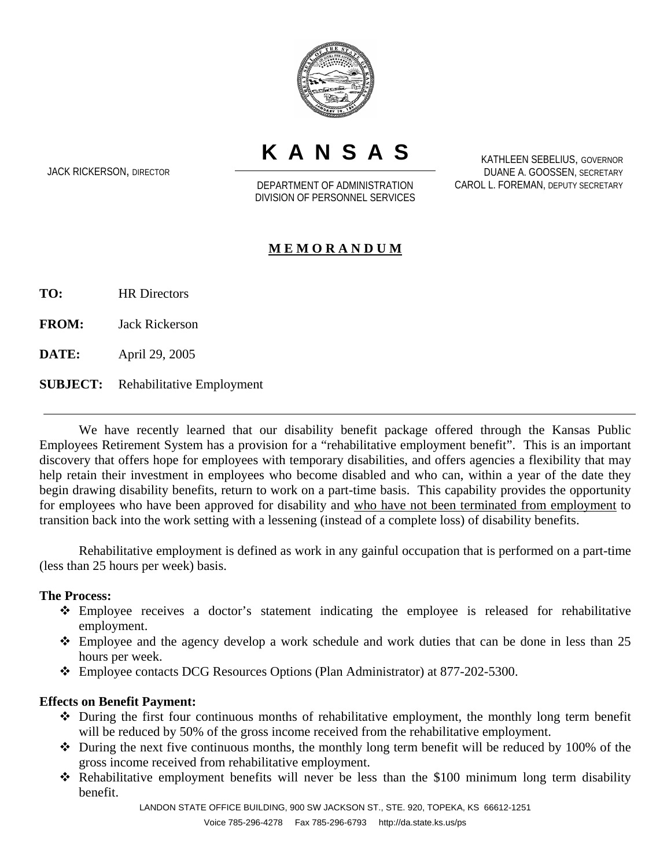

**KANSAS**

JACK RICKERSON, DIRECTOR

DEPARTMENT OF ADMINISTRATION DIVISION OF PERSONNEL SERVICES

KATHLEEN SEBELIUS, GOVERNOR DUANE A. GOOSSEN, SECRETARY CAROL L. FOREMAN, DEPUTY SECRETARY

## **M E M O R A N D U M**

**TO:** HR Directors

**FROM:** Jack Rickerson

**DATE:** April 29, 2005

**SUBJECT:** Rehabilitative Employment

We have recently learned that our disability benefit package offered through the Kansas Public Employees Retirement System has a provision for a "rehabilitative employment benefit". This is an important discovery that offers hope for employees with temporary disabilities, and offers agencies a flexibility that may help retain their investment in employees who become disabled and who can, within a year of the date they begin drawing disability benefits, return to work on a part-time basis. This capability provides the opportunity for employees who have been approved for disability and who have not been terminated from employment to transition back into the work setting with a lessening (instead of a complete loss) of disability benefits.

Rehabilitative employment is defined as work in any gainful occupation that is performed on a part-time (less than 25 hours per week) basis.

## **The Process:**

- Employee receives a doctor's statement indicating the employee is released for rehabilitative employment.
- $\div$  Employee and the agency develop a work schedule and work duties that can be done in less than 25 hours per week.
- Employee contacts DCG Resources Options (Plan Administrator) at 877-202-5300.

## **Effects on Benefit Payment:**

- During the first four continuous months of rehabilitative employment, the monthly long term benefit will be reduced by 50% of the gross income received from the rehabilitative employment.
- $\cdot$  During the next five continuous months, the monthly long term benefit will be reduced by 100% of the gross income received from rehabilitative employment.
- Rehabilitative employment benefits will never be less than the \$100 minimum long term disability benefit.